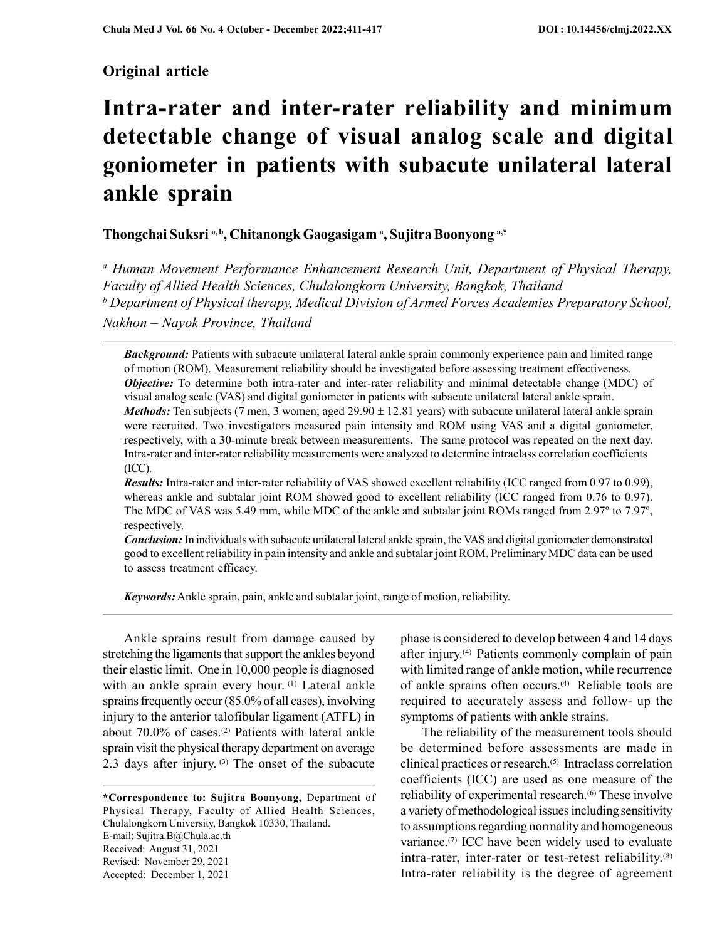# Original article

# Intra-rater and inter-rater reliability and minimum detectable change of visual analog scale and digital goniometer in patients with subacute unilateral lateral ankle sprain

# Thongchai Suksri a,b, Chitanongk Gaogasigama, Sujitra Boonyong a,\*

<sup>a</sup> Human Movement Performance Enhancement Research Unit, Department of Physical Therapy, Faculty of Allied Health Sciences, Chulalongkorn University, Bangkok, Thailand <sup>b</sup> Department of Physical therapy, Medical Division of Armed Forces Academies Preparatory School, Nakhon – Nayok Province, Thailand

**Background:** Patients with subacute unilateral lateral ankle sprain commonly experience pain and limited range of motion (ROM). Measurement reliability should be investigated before assessing treatment effectiveness. **Objective:** To determine both intra-rater and inter-rater reliability and minimal detectable change (MDC) of visual analog scale (VAS) and digital goniometer in patients with subacute unilateral lateral ankle sprain. *Methods:* Ten subjects (7 men, 3 women; aged  $29.90 \pm 12.81$  years) with subacute unilateral lateral ankle sprain were recruited. Two investigators measured pain intensity and ROM using VAS and a digital goniometer, respectively, with a 30-minute break between measurements. The same protocol was repeated on the next day. Intra-rater and inter-rater reliability measurements were analyzed to determine intraclass correlation coefficients (ICC).

Results: Intra-rater and inter-rater reliability of VAS showed excellent reliability (ICC ranged from 0.97 to 0.99), whereas ankle and subtalar joint ROM showed good to excellent reliability (ICC ranged from 0.76 to 0.97). The MDC of VAS was 5.49 mm, while MDC of the ankle and subtalar joint ROMs ranged from 2.97º to 7.97º, respectively.

Conclusion: In individuals with subacute unilateral lateral ankle sprain, the VAS and digital goniometer demonstrated good to excellent reliability in pain intensity and ankle and subtalar joint ROM. Preliminary MDC data can be used to assess treatment efficacy.

**Keywords:** Ankle sprain, pain, ankle and subtalar joint, range of motion, reliability.

Ankle sprains result from damage caused by stretching the ligaments that support the ankles beyond their elastic limit. One in 10,000 people is diagnosed with an ankle sprain every hour. (1) Lateral ankle sprains frequently occur (85.0% of all cases), involving injury to the anterior talofibular ligament (ATFL) in about 70.0% of cases.<sup>(2)</sup> Patients with lateral ankle sprain visit the physical therapy department on average 2.3 days after injury. (3) The onset of the subacute

\*Correspondence to: Sujitra Boonyong, Department of Physical Therapy, Faculty of Allied Health Sciences, Chulalongkorn University, Bangkok 10330, Thailand. E-mail: Sujitra.B@Chula.ac.th Received: August 31, 2021 Revised: November 29, 2021 Accepted: December 1, 2021

phase is considered to develop between 4 and 14 days after injury.(4) Patients commonly complain of pain with limited range of ankle motion, while recurrence of ankle sprains often occurs.<sup>(4)</sup> Reliable tools are required to accurately assess and follow- up the symptoms of patients with ankle strains.

The reliability of the measurement tools should be determined before assessments are made in clinical practices or research.(5) Intraclass correlation coefficients (ICC) are used as one measure of the reliability of experimental research.<sup>(6)</sup> These involve a variety of methodological issues including sensitivity to assumptions regarding normality and homogeneous variance.<sup>(7)</sup> ICC have been widely used to evaluate intra-rater, inter-rater or test-retest reliability.<sup>(8)</sup> Intra-rater reliability is the degree of agreement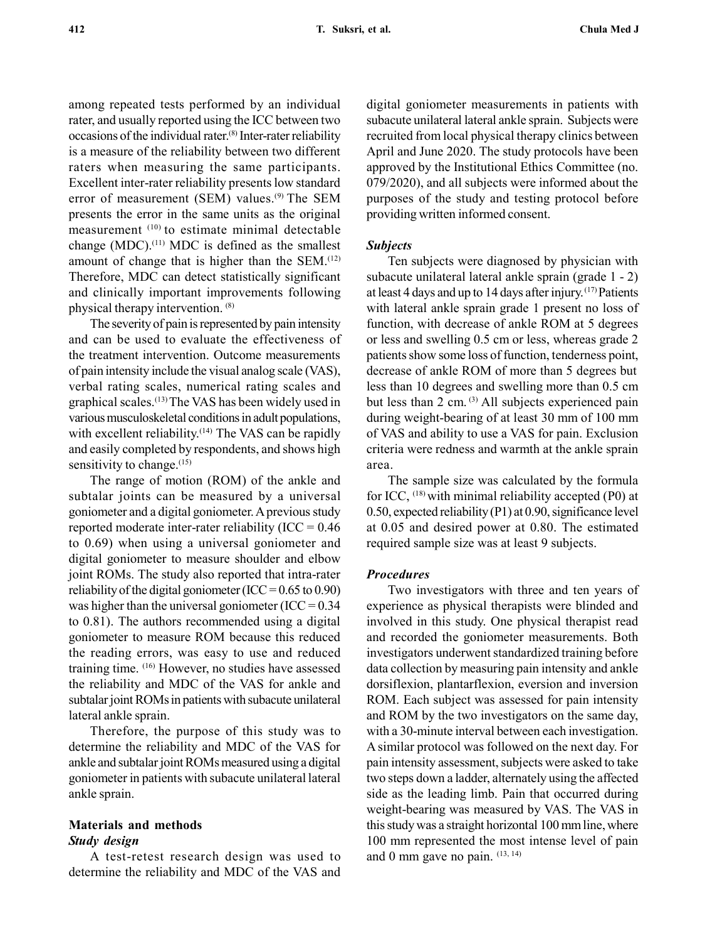among repeated tests performed by an individual rater, and usually reported using the ICC between two occasions of the individual rater.(8) Inter-rater reliability is a measure of the reliability between two different raters when measuring the same participants. Excellent inter-rater reliability presents low standard error of measurement (SEM) values.<sup>(9)</sup> The SEM presents the error in the same units as the original measurement (10) to estimate minimal detectable change (MDC). $(11)$  MDC is defined as the smallest amount of change that is higher than the SEM.(12) Therefore, MDC can detect statistically significant and clinically important improvements following physical therapy intervention. (8)

The severity of pain is represented by pain intensity and can be used to evaluate the effectiveness of the treatment intervention. Outcome measurements of pain intensity include the visual analog scale (VAS), verbal rating scales, numerical rating scales and graphical scales.(13) The VAS has been widely used in various musculoskeletal conditions in adult populations, with excellent reliability.<sup>(14)</sup> The VAS can be rapidly and easily completed by respondents, and shows high sensitivity to change. $(15)$ 

The range of motion (ROM) of the ankle and subtalar joints can be measured by a universal goniometer and a digital goniometer. A previous study reported moderate inter-rater reliability ( $ICC = 0.46$ to 0.69) when using a universal goniometer and digital goniometer to measure shoulder and elbow joint ROMs. The study also reported that intra-rater reliability of the digital goniometer (ICC =  $0.65$  to  $0.90$ ) was higher than the universal goniometer (ICC =  $0.34$ ) to 0.81). The authors recommended using a digital goniometer to measure ROM because this reduced the reading errors, was easy to use and reduced training time. (16) However, no studies have assessed the reliability and MDC of the VAS for ankle and subtalar joint ROMs in patients with subacute unilateral lateral ankle sprain.

Therefore, the purpose of this study was to determine the reliability and MDC of the VAS for ankle and subtalar joint ROMs measured using a digital goniometer in patients with subacute unilateral lateral ankle sprain.

## Materials and methods Study design

A test-retest research design was used to determine the reliability and MDC of the VAS and digital goniometer measurements in patients with subacute unilateral lateral ankle sprain. Subjects were recruited from local physical therapy clinics between April and June 2020. The study protocols have been approved by the Institutional Ethics Committee (no. 079/2020), and all subjects were informed about the purposes of the study and testing protocol before providing written informed consent.

### Subjects

Ten subjects were diagnosed by physician with subacute unilateral lateral ankle sprain (grade 1 - 2) at least 4 days and up to 14 days after injury. (17) Patients with lateral ankle sprain grade 1 present no loss of function, with decrease of ankle ROM at 5 degrees or less and swelling 0.5 cm or less, whereas grade 2 patients show some loss of function, tenderness point, decrease of ankle ROM of more than 5 degrees but less than 10 degrees and swelling more than 0.5 cm but less than 2 cm. <sup>(3)</sup> All subjects experienced pain during weight-bearing of at least 30 mm of 100 mm of VAS and ability to use a VAS for pain. Exclusion criteria were redness and warmth at the ankle sprain area.

The sample size was calculated by the formula for ICC, (18) with minimal reliability accepted (P0) at 0.50, expected reliability (P1) at 0.90, significance level at 0.05 and desired power at 0.80. The estimated required sample size was at least 9 subjects.

#### Procedures

Two investigators with three and ten years of experience as physical therapists were blinded and involved in this study. One physical therapist read and recorded the goniometer measurements. Both investigators underwent standardized training before data collection by measuring pain intensity and ankle dorsiflexion, plantarflexion, eversion and inversion ROM. Each subject was assessed for pain intensity and ROM by the two investigators on the same day, with a 30-minute interval between each investigation. A similar protocol was followed on the next day. For pain intensity assessment, subjects were asked to take two steps down a ladder, alternately using the affected side as the leading limb. Pain that occurred during weight-bearing was measured by VAS. The VAS in this study was a straight horizontal 100 mm line, where 100 mm represented the most intense level of pain and 0 mm gave no pain.  $(13, 14)$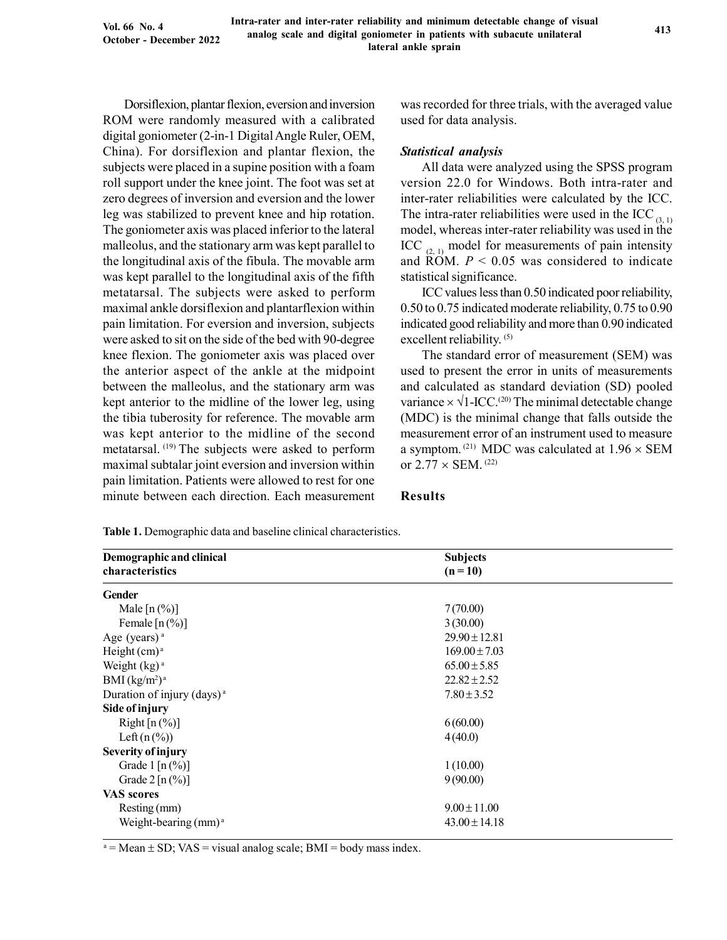Dorsiflexion, plantar flexion, eversion and inversion ROM were randomly measured with a calibrated digital goniometer (2-in-1 Digital Angle Ruler, OEM, China). For dorsiflexion and plantar flexion, the subjects were placed in a supine position with a foam roll support under the knee joint. The foot was set at zero degrees of inversion and eversion and the lower leg was stabilized to prevent knee and hip rotation. The goniometer axis was placed inferior to the lateral malleolus, and the stationary arm was kept parallel to the longitudinal axis of the fibula. The movable arm was kept parallel to the longitudinal axis of the fifth metatarsal. The subjects were asked to perform maximal ankle dorsiflexion and plantarflexion within pain limitation. For eversion and inversion, subjects were asked to sit on the side of the bed with 90-degree knee flexion. The goniometer axis was placed over the anterior aspect of the ankle at the midpoint between the malleolus, and the stationary arm was kept anterior to the midline of the lower leg, using the tibia tuberosity for reference. The movable arm was kept anterior to the midline of the second metatarsal. (19) The subjects were asked to perform maximal subtalar joint eversion and inversion within pain limitation. Patients were allowed to rest for one minute between each direction. Each measurement was recorded for three trials, with the averaged value used for data analysis.

#### Statistical analysis

All data were analyzed using the SPSS program version 22.0 for Windows. Both intra-rater and inter-rater reliabilities were calculated by the ICC. The intra-rater reliabilities were used in the ICC  $_3$  <sub>1)</sub> model, whereas inter-rater reliability was used in the ICC  $_{(2,1)}$  model for measurements of pain intensity and  $\overline{ROM}$ .  $P < 0.05$  was considered to indicate statistical significance.

ICC values less than 0.50 indicated poor reliability, 0.50 to 0.75 indicated moderate reliability, 0.75 to 0.90 indicated good reliability and more than 0.90 indicated excellent reliability. (5)

The standard error of measurement (SEM) was used to present the error in units of measurements and calculated as standard deviation (SD) pooled variance  $\times$   $\sqrt{1-ICC.^{(20)}}$  The minimal detectable change (MDC) is the minimal change that falls outside the measurement error of an instrument used to measure a symptom. <sup>(21)</sup> MDC was calculated at  $1.96 \times$  SEM or  $2.77 \times$  SEM. <sup>(22)</sup>

### Results

| Demographic and clinical               | <b>Subjects</b>   |  |
|----------------------------------------|-------------------|--|
| characteristics                        | $(n = 10)$        |  |
| <b>Gender</b>                          |                   |  |
| Male $[n(\%)]$                         | 7(70.00)          |  |
| Female $\lceil n \binom{0}{0} \rceil$  | 3(30.00)          |  |
| Age (years) <sup>a</sup>               | $29.90 \pm 12.81$ |  |
| Height $(cm)^a$                        | $169.00 \pm 7.03$ |  |
| Weight $(kg)^a$                        | $65.00 \pm 5.85$  |  |
| BMI (kg/m <sup>2</sup> ) <sup>a</sup>  | $22.82 \pm 2.52$  |  |
| Duration of injury (days) <sup>a</sup> | $7.80 \pm 3.52$   |  |
| Side of injury                         |                   |  |
| Right $[n (\%)]$                       | 6(60.00)          |  |
| Left $(n \binom{0}{0})$                | 4(40.0)           |  |
| <b>Severity of injury</b>              |                   |  |
| Grade $1 [n (\%)]$                     | 1(10.00)          |  |
| Grade $2 [n (\%)]$                     | 9(90.00)          |  |
| VAS scores                             |                   |  |
| Resting (mm)                           | $9.00 \pm 11.00$  |  |
| Weight-bearing $(mm)^a$                | $43.00 \pm 14.18$ |  |

Table 1. Demographic data and baseline clinical characteristics.

 $a = Mean \pm SD$ ; VAS = visual analog scale; BMI = body mass index.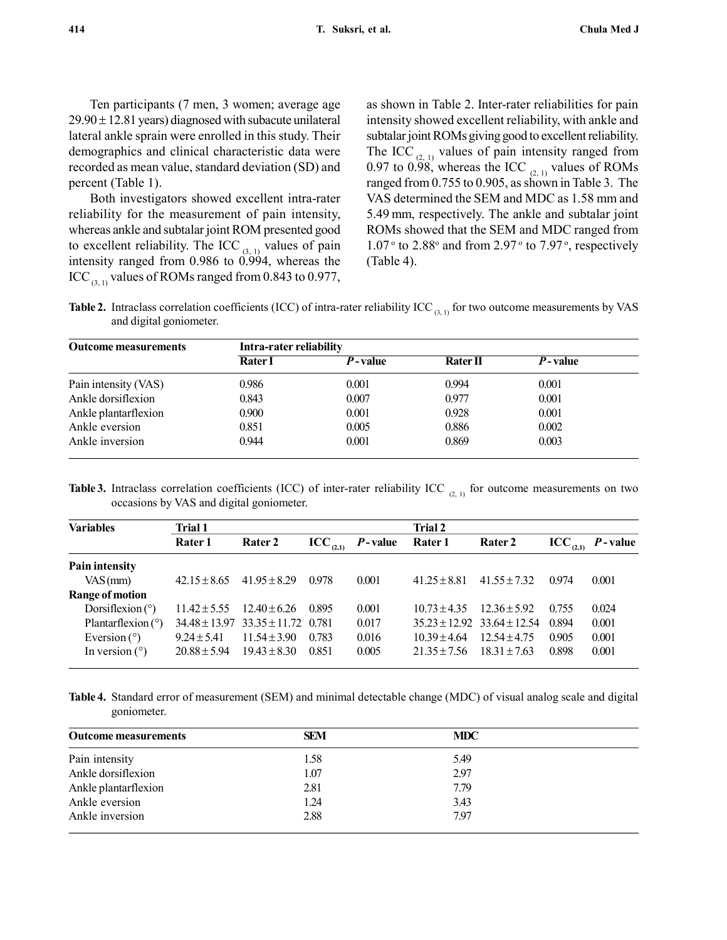Ten participants (7 men, 3 women; average age  $29.90 \pm 12.81$  years) diagnosed with subacute unilateral lateral ankle sprain were enrolled in this study. Their demographics and clinical characteristic data were recorded as mean value, standard deviation (SD) and percent (Table 1).

Both investigators showed excellent intra-rater reliability for the measurement of pain intensity, whereas ankle and subtalar joint ROM presented good to excellent reliability. The ICC  $_{(3, 1)}$  values of pain intensity ranged from 0.986 to 0.994, whereas the ICC  $_{(3,1)}$  values of ROMs ranged from 0.843 to 0.977,

as shown in Table 2. Inter-rater reliabilities for pain intensity showed excellent reliability, with ankle and subtalar joint ROMs giving good to excellent reliability. The ICC  $_{(2, 1)}$  values of pain intensity ranged from 0.97 to  $0.98$ , whereas the ICC <sub>(2, 1)</sub> values of ROMs ranged from 0.755 to 0.905, as shown in Table 3. The VAS determined the SEM and MDC as 1.58 mm and 5.49 mm, respectively. The ankle and subtalar joint ROMs showed that the SEM and MDC ranged from  $1.07$ <sup>o</sup> to  $2.88$ <sup>o</sup> and from  $2.97$ <sup>o</sup> to  $7.97$ <sup>o</sup>, respectively (Table 4).

**Table 2.** Intraclass correlation coefficients (ICC) of intra-rater reliability ICC<sub>(3, 1)</sub> for two outcome measurements by VAS and digital goniometer.

| <b>Outcome measurements</b> | Intra-rater reliability |         |          |                 |  |  |  |
|-----------------------------|-------------------------|---------|----------|-----------------|--|--|--|
|                             | <b>Rater</b> I          | P-value | Rater II | <i>P</i> -value |  |  |  |
| Pain intensity (VAS)        | 0.986                   | 0.001   | 0.994    | 0.001           |  |  |  |
| Ankle dorsiflexion          | 0.843                   | 0.007   | 0.977    | 0.001           |  |  |  |
| Ankle plantarflexion        | 0.900                   | 0.001   | 0.928    | 0.001           |  |  |  |
| Ankle eversion              | 0.851                   | 0.005   | 0.886    | 0.002           |  |  |  |
| Ankle inversion             | 0.944                   | 0.001   | 0.869    | 0.003           |  |  |  |

**Table 3.** Intraclass correlation coefficients (ICC) of inter-rater reliability ICC  $_{(2,1)}$  for outcome measurements on two occasions by VAS and digital goniometer.

| <b>Variables</b>       | Trial 1          |                                           |                      | Trial 2     |                  |                                     |                      |                 |
|------------------------|------------------|-------------------------------------------|----------------------|-------------|------------------|-------------------------------------|----------------------|-----------------|
|                        | Rater 1          | Rater 2                                   | $\text{ICC}_{(2,1)}$ | $P$ - value | <b>Rater 1</b>   | Rater 2                             | $\text{ICC}_{(2,1)}$ | <i>P</i> -value |
| Pain intensity         |                  |                                           |                      |             |                  |                                     |                      |                 |
| $VAS$ (mm)             | $42.15 \pm 8.65$ | $41.95 \pm 8.29$                          | 0.978                | 0.001       | $41.25 + 8.81$   | $41.55 \pm 7.32$                    | 0.974                | 0.001           |
| <b>Range of motion</b> |                  |                                           |                      |             |                  |                                     |                      |                 |
| Dorsiflexion $(°)$     | $11.42 \pm 5.55$ | $12.40 \pm 6.26$                          | 0.895                | 0.001       | $10.73 + 4.35$   | $12.36 \pm 5.92$                    | 0.755                | 0.024           |
| Plantarflexion $(°)$   |                  | $34.48 \pm 13.97$ $33.35 \pm 11.72$ 0.781 |                      | 0.017       |                  | $35.23 \pm 12.92$ $33.64 \pm 12.54$ | 0.894                | 0.001           |
| Eversion $(°)$         | $9.24 \pm 5.41$  | $11.54 \pm 3.90$                          | 0.783                | 0.016       | $10.39 \pm 4.64$ | $12.54 \pm 4.75$                    | 0.905                | 0.001           |
| In version $(°)$       | $20.88 \pm 5.94$ | $19.43 \pm 8.30$                          | 0.851                | 0.005       | $21.35 + 7.56$   | $18.31 + 7.63$                      | 0.898                | 0.001           |

Table 4. Standard error of measurement (SEM) and minimal detectable change (MDC) of visual analog scale and digital goniometer.

| <b>Outcome measurements</b> | <b>SEM</b> | <b>MDC</b> |  |
|-----------------------------|------------|------------|--|
| Pain intensity              | 1.58       | 5.49       |  |
| Ankle dorsiflexion          | 1.07       | 2.97       |  |
| Ankle plantarflexion        | 2.81       | 7.79       |  |
| Ankle eversion              | 1.24       | 3.43       |  |
| Ankle inversion             | 2.88       | 7.97       |  |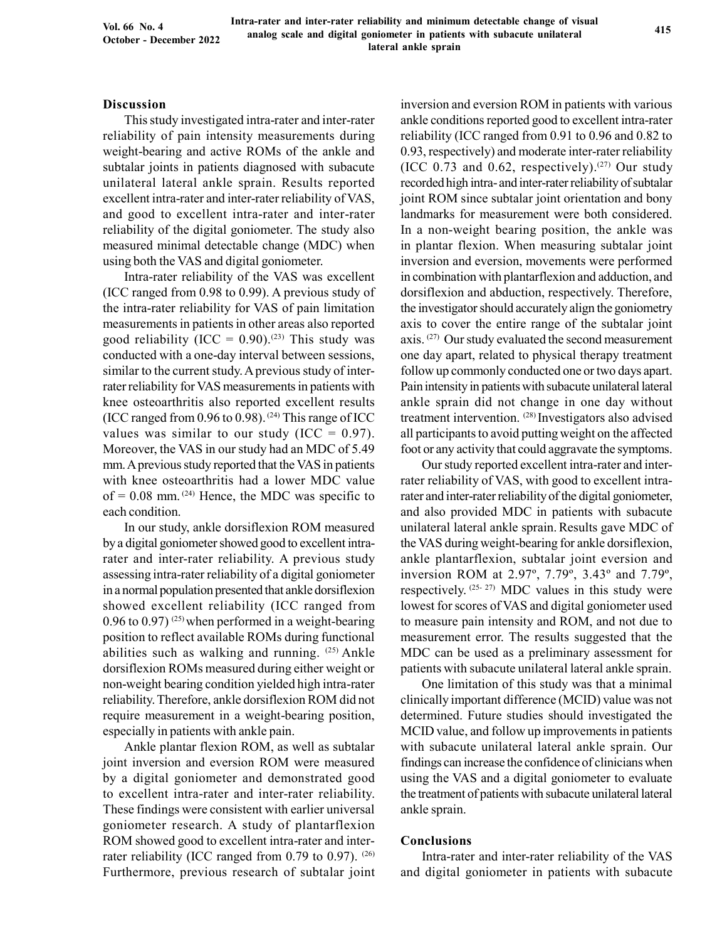Intra-rater and inter-rater reliability and minimum detectable change of visual analog scale and digital goniometer in patients with subacute unilateral lateral ankle sprain

#### Discussion

This study investigated intra-rater and inter-rater reliability of pain intensity measurements during weight-bearing and active ROMs of the ankle and subtalar joints in patients diagnosed with subacute unilateral lateral ankle sprain. Results reported excellent intra-rater and inter-rater reliability of VAS, and good to excellent intra-rater and inter-rater reliability of the digital goniometer. The study also measured minimal detectable change (MDC) when using both the VAS and digital goniometer.

Intra-rater reliability of the VAS was excellent (ICC ranged from 0.98 to 0.99). A previous study of the intra-rater reliability for VAS of pain limitation measurements in patients in other areas also reported good reliability (ICC =  $0.90$ ).<sup>(23)</sup> This study was conducted with a one-day interval between sessions, similar to the current study. A previous study of interrater reliability for VAS measurements in patients with knee osteoarthritis also reported excellent results (ICC ranged from 0.96 to 0.98).<sup>(24)</sup> This range of ICC values was similar to our study (ICC =  $0.97$ ). Moreover, the VAS in our study had an MDC of 5.49 mm. A previous study reported that the VAS in patients with knee osteoarthritis had a lower MDC value of =  $0.08$  mm. <sup>(24)</sup> Hence, the MDC was specific to each condition.

In our study, ankle dorsiflexion ROM measured by a digital goniometer showed good to excellent intrarater and inter-rater reliability. A previous study assessing intra-rater reliability of a digital goniometer in a normal population presented that ankle dorsiflexion showed excellent reliability (ICC ranged from 0.96 to 0.97) <sup>(25)</sup> when performed in a weight-bearing position to reflect available ROMs during functional abilities such as walking and running.  $(25)$  Ankle dorsiflexion ROMs measured during either weight or non-weight bearing condition yielded high intra-rater reliability. Therefore, ankle dorsiflexion ROM did not require measurement in a weight-bearing position, especially in patients with ankle pain.

Ankle plantar flexion ROM, as well as subtalar joint inversion and eversion ROM were measured by a digital goniometer and demonstrated good to excellent intra-rater and inter-rater reliability. These findings were consistent with earlier universal goniometer research. A study of plantarflexion ROM showed good to excellent intra-rater and interrater reliability (ICC ranged from 0.79 to 0.97).  $(26)$ Furthermore, previous research of subtalar joint inversion and eversion ROM in patients with various ankle conditions reported good to excellent intra-rater reliability (ICC ranged from 0.91 to 0.96 and 0.82 to 0.93, respectively) and moderate inter-rater reliability (ICC 0.73 and 0.62, respectively).<sup>(27)</sup> Our study recorded high intra- and inter-rater reliability of subtalar joint ROM since subtalar joint orientation and bony landmarks for measurement were both considered. In a non-weight bearing position, the ankle was in plantar flexion. When measuring subtalar joint inversion and eversion, movements were performed in combination with plantarflexion and adduction, and dorsiflexion and abduction, respectively. Therefore, the investigator should accurately align the goniometry axis to cover the entire range of the subtalar joint axis. (27) Our study evaluated the second measurement one day apart, related to physical therapy treatment follow up commonly conducted one or two days apart. Pain intensity in patients with subacute unilateral lateral ankle sprain did not change in one day without treatment intervention. (28) Investigators also advised all participants to avoid putting weight on the affected foot or any activity that could aggravate the symptoms.

Our study reported excellent intra-rater and interrater reliability of VAS, with good to excellent intrarater and inter-rater reliability of the digital goniometer, and also provided MDC in patients with subacute unilateral lateral ankle sprain. Results gave MDC of the VAS during weight-bearing for ankle dorsiflexion, ankle plantarflexion, subtalar joint eversion and inversion ROM at 2.97º, 7.79º, 3.43º and 7.79º, respectively.  $(25-27)$  MDC values in this study were lowest for scores of VAS and digital goniometer used to measure pain intensity and ROM, and not due to measurement error. The results suggested that the MDC can be used as a preliminary assessment for patients with subacute unilateral lateral ankle sprain.

One limitation of this study was that a minimal clinically important difference (MCID) value was not determined. Future studies should investigated the MCID value, and follow up improvements in patients with subacute unilateral lateral ankle sprain. Our findings can increase the confidence of clinicians when using the VAS and a digital goniometer to evaluate the treatment of patients with subacute unilateral lateral ankle sprain.

#### Conclusions

Intra-rater and inter-rater reliability of the VAS and digital goniometer in patients with subacute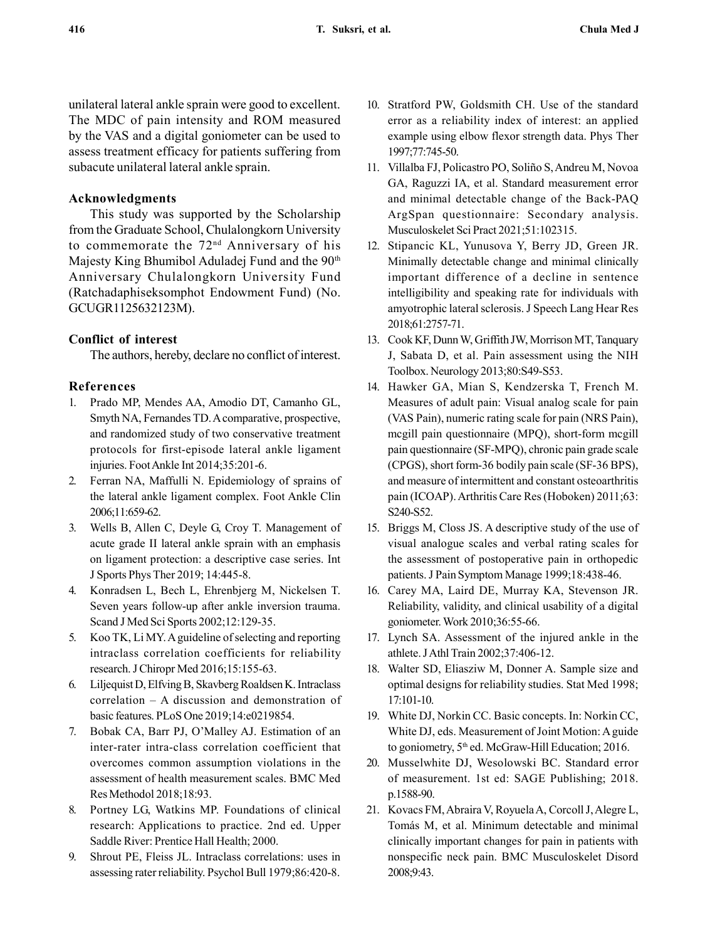unilateral lateral ankle sprain were good to excellent. The MDC of pain intensity and ROM measured by the VAS and a digital goniometer can be used to assess treatment efficacy for patients suffering from subacute unilateral lateral ankle sprain.

### Acknowledgments

This study was supported by the Scholarship from the Graduate School, Chulalongkorn University to commemorate the 72nd Anniversary of his Majesty King Bhumibol Aduladej Fund and the 90<sup>th</sup> Anniversary Chulalongkorn University Fund (Ratchadaphiseksomphot Endowment Fund) (No. GCUGR1125632123M).

## Conflict of interest

The authors, hereby, declare no conflict of interest.

## References

- 1. Prado MP, Mendes AA, Amodio DT, Camanho GL, Smyth NA, Fernandes TD. A comparative, prospective, and randomized study of two conservative treatment protocols for first-episode lateral ankle ligament injuries. Foot Ankle Int 2014;35:201-6.
- 2. Ferran NA, Maffulli N. Epidemiology of sprains of the lateral ankle ligament complex. Foot Ankle Clin 2006;11:659-62.
- 3. Wells B, Allen C, Deyle G, Croy T. Management of acute grade II lateral ankle sprain with an emphasis on ligament protection: a descriptive case series. Int J Sports Phys Ther 2019; 14:445-8.
- 4. Konradsen L, Bech L, Ehrenbjerg M, Nickelsen T. Seven years follow-up after ankle inversion trauma. Scand J Med Sci Sports 2002;12:129-35.
- 5. Koo TK, Li MY. A guideline of selecting and reporting intraclass correlation coefficients for reliability research. J Chiropr Med 2016;15:155-63.
- 6. Liljequist D, Elfving B, Skavberg Roaldsen K. Intraclass correlation – A discussion and demonstration of basic features. PLoS One 2019;14:e0219854.
- 7. Bobak CA, Barr PJ, O'Malley AJ. Estimation of an inter-rater intra-class correlation coefficient that overcomes common assumption violations in the assessment of health measurement scales. BMC Med Res Methodol 2018;18:93.
- 8. Portney LG, Watkins MP. Foundations of clinical research: Applications to practice. 2nd ed. Upper Saddle River: Prentice Hall Health; 2000.
- 9. Shrout PE, Fleiss JL. Intraclass correlations: uses in assessing rater reliability. Psychol Bull 1979;86:420-8.
- 10. Stratford PW, Goldsmith CH. Use of the standard error as a reliability index of interest: an applied example using elbow flexor strength data. Phys Ther 1997;77:745-50.
- 11. Villalba FJ, Policastro PO, Soliño S, Andreu M, Novoa GA, Raguzzi IA, et al. Standard measurement error and minimal detectable change of the Back-PAQ ArgSpan questionnaire: Secondary analysis. Musculoskelet Sci Pract 2021;51:102315.
- 12. Stipancic KL, Yunusova Y, Berry JD, Green JR. Minimally detectable change and minimal clinically important difference of a decline in sentence intelligibility and speaking rate for individuals with amyotrophic lateral sclerosis. J Speech Lang Hear Res 2018;61:2757-71.
- 13. Cook KF, Dunn W, Griffith JW, Morrison MT, Tanquary J, Sabata D, et al. Pain assessment using the NIH Toolbox. Neurology 2013;80:S49-S53.
- 14. Hawker GA, Mian S, Kendzerska T, French M. Measures of adult pain: Visual analog scale for pain (VAS Pain), numeric rating scale for pain (NRS Pain), mcgill pain questionnaire (MPQ), short-form mcgill pain questionnaire (SF-MPQ), chronic pain grade scale (CPGS), short form-36 bodily pain scale (SF-36 BPS), and measure of intermittent and constant osteoarthritis pain (ICOAP). Arthritis Care Res (Hoboken) 2011;63: S240-S52.
- 15. Briggs M, Closs JS. A descriptive study of the use of visual analogue scales and verbal rating scales for the assessment of postoperative pain in orthopedic patients. J Pain Symptom Manage 1999;18:438-46.
- 16. Carey MA, Laird DE, Murray KA, Stevenson JR. Reliability, validity, and clinical usability of a digital goniometer. Work 2010;36:55-66.
- 17. Lynch SA. Assessment of the injured ankle in the athlete. J Athl Train 2002;37:406-12.
- 18. Walter SD, Eliasziw M, Donner A. Sample size and optimal designs for reliability studies. Stat Med 1998; 17:101-10.
- 19. White DJ, Norkin CC. Basic concepts. In: Norkin CC, White DJ, eds. Measurement of Joint Motion: A guide to goniometry,  $5<sup>th</sup>$  ed. McGraw-Hill Education; 2016.
- 20. Musselwhite DJ, Wesolowski BC. Standard error of measurement. 1st ed: SAGE Publishing; 2018. p.1588-90.
- 21. Kovacs FM, Abraira V, Royuela A, Corcoll J, Alegre L, Tomás M, et al. Minimum detectable and minimal clinically important changes for pain in patients with nonspecific neck pain. BMC Musculoskelet Disord 2008;9:43.